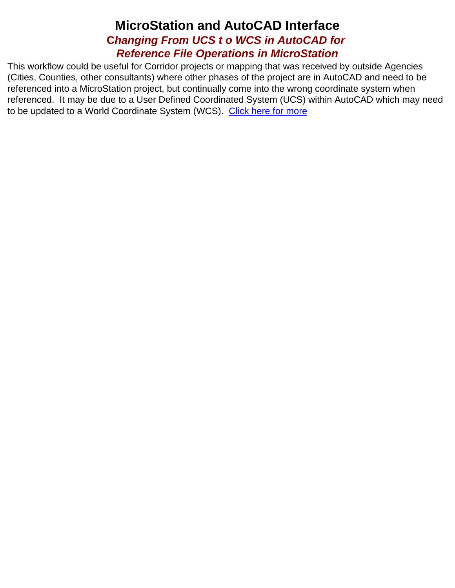## **MicroStation and AutoCAD Interface C***hanging From UCS t o WCS in AutoCAD for Reference File Operations in MicroStation*

This workflow could be useful for Corridor projects or mapping that was received by outside Agencies (Cities, Counties, other consultants) where other phases of the project are in AutoCAD and need to be referenced into a MicroStation project, but continually come into the wrong coordinate system when referenced. It may be due to a User Defined Coordinated System (UCS) within AutoCAD which may need to be updated to a World Coordinate System (WCS). [Click here for more](#page-1-0)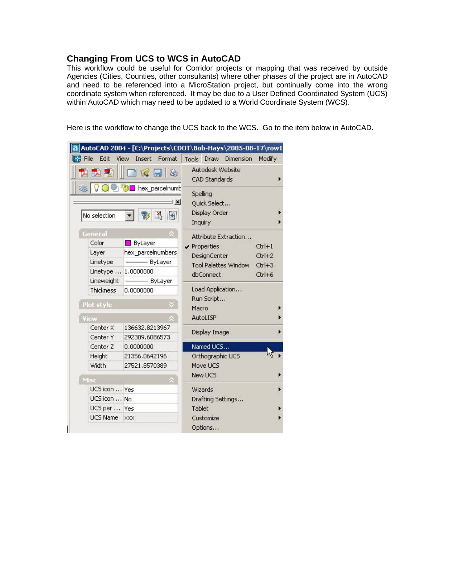## <span id="page-1-0"></span>**Changing From UCS to WCS in AutoCAD**

This workflow could be useful for Corridor projects or mapping that was received by outside Agencies (Cities, Counties, other consultants) where other phases of the project are in AutoCAD and need to be referenced into a MicroStation project, but continually come into the wrong coordinate system when referenced. It may be due to a User Defined Coordinated System (UCS) within AutoCAD which may need to be updated to a World Coordinate System (WCS).

Here is the workflow to change the UCS back to the WCS. Go to the item below in AutoCAD.

| Edit<br>File        | View<br>Insert<br>Format                                                    |               | Tools Draw                                           | <b>Dimension</b>     | Modify             |  |
|---------------------|-----------------------------------------------------------------------------|---------------|------------------------------------------------------|----------------------|--------------------|--|
| <b>K</b> H          |                                                                             |               | Autodesk Website<br>CAD Standards                    |                      |                    |  |
| No selection        | <b>○ <sup>●</sup> <sup>●</sup> ■</b> hex_parcelnumb<br>$\vert x \vert$<br>院 |               | Spelling<br>Quick Select<br>Display Order<br>Inquiry |                      |                    |  |
| General             |                                                                             |               |                                                      | Attribute Extraction |                    |  |
| Color               | ByLayer                                                                     |               | $\vee$ Properties                                    |                      | $Ctrl+1$           |  |
| Layer               | hex_parcelnumbers                                                           |               | <b>DesignCenter</b>                                  |                      | $Ctrl+2$           |  |
| Linetype            | - ByLayer                                                                   |               | <b>Tool Palettes Window</b>                          |                      |                    |  |
| Linetype            | 1,0000000                                                                   |               | dbConnect                                            |                      | $Ctr1+3$<br>Ctrl+6 |  |
| Lineweight          | -ByLayer                                                                    |               |                                                      |                      |                    |  |
| Thickness           | 0.0000000                                                                   |               | Load Application                                     |                      |                    |  |
| Plot style          |                                                                             |               | Run Script                                           |                      |                    |  |
|                     |                                                                             |               | Macro                                                |                      |                    |  |
| View                |                                                                             |               | <b>AutoLISP</b>                                      |                      |                    |  |
| Center X            | 136632.8213967                                                              | Display Image |                                                      |                      |                    |  |
| Center Y            | 292309.6086573                                                              |               |                                                      |                      |                    |  |
| Center <sub>Z</sub> | 0.0000000                                                                   |               | Named UCS                                            |                      |                    |  |
| Height              | 21356.0642196                                                               |               | Orthographic UCS                                     |                      |                    |  |
| Width               | 27521.8570389                                                               |               | Move LICS                                            |                      |                    |  |
| Misc                |                                                                             |               | New UCS                                              |                      |                    |  |
| UCS icon  Yes       |                                                                             |               | Wizards                                              |                      |                    |  |
| UCS icon  No        |                                                                             |               | Drafting Settings                                    |                      |                    |  |
| UCS per  Yes        |                                                                             |               | Tablet                                               |                      |                    |  |
| UCS Name            | <b>XXX</b>                                                                  |               | Customize                                            |                      |                    |  |
|                     |                                                                             |               | Options                                              |                      |                    |  |